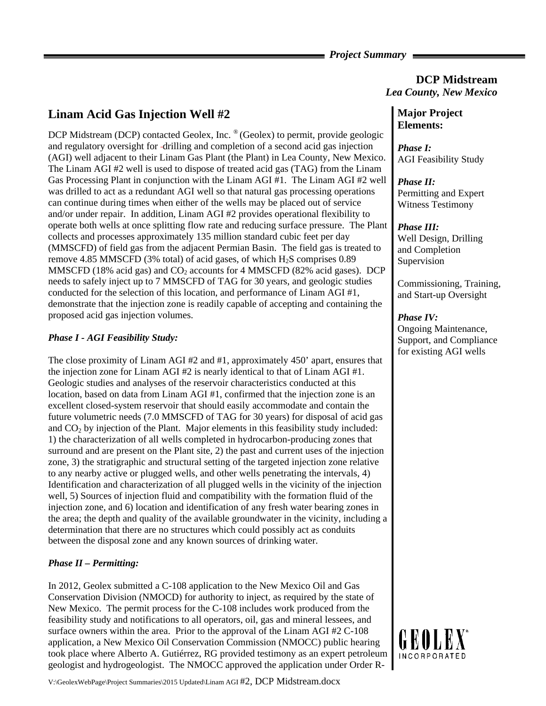### *Project Summary*

# **DCP Midstream**  *Lea County, New Mexico*

# **Linam Acid Gas Injection Well #2**

DCP Midstream (DCP) contacted Geolex, Inc. ® (Geolex) to permit, provide geologic and regulatory oversight for drilling and completion of a second acid gas injection (AGI) well adjacent to their Linam Gas Plant (the Plant) in Lea County, New Mexico. The Linam AGI #2 well is used to dispose of treated acid gas (TAG) from the Linam Gas Processing Plant in conjunction with the Linam AGI #1. The Linam AGI #2 well was drilled to act as a redundant AGI well so that natural gas processing operations can continue during times when either of the wells may be placed out of service and/or under repair. In addition, Linam AGI #2 provides operational flexibility to operate both wells at once splitting flow rate and reducing surface pressure. The Plant collects and processes approximately 135 million standard cubic feet per day (MMSCFD) of field gas from the adjacent Permian Basin. The field gas is treated to remove 4.85 MMSCFD (3% total) of acid gases, of which  $H_2S$  comprises 0.89 MMSCFD (18% acid gas) and  $CO<sub>2</sub>$  accounts for 4 MMSCFD (82% acid gases). DCP needs to safely inject up to 7 MMSCFD of TAG for 30 years, and geologic studies conducted for the selection of this location, and performance of Linam AGI #1, demonstrate that the injection zone is readily capable of accepting and containing the proposed acid gas injection volumes.

### *Phase I - AGI Feasibility Study:*

The close proximity of Linam AGI #2 and #1, approximately 450' apart, ensures that the injection zone for Linam AGI #2 is nearly identical to that of Linam AGI #1. Geologic studies and analyses of the reservoir characteristics conducted at this location, based on data from Linam AGI #1, confirmed that the injection zone is an excellent closed-system reservoir that should easily accommodate and contain the future volumetric needs (7.0 MMSCFD of TAG for 30 years) for disposal of acid gas and  $CO<sub>2</sub>$  by injection of the Plant. Major elements in this feasibility study included: 1) the characterization of all wells completed in hydrocarbon-producing zones that surround and are present on the Plant site, 2) the past and current uses of the injection zone, 3) the stratigraphic and structural setting of the targeted injection zone relative to any nearby active or plugged wells, and other wells penetrating the intervals, 4) Identification and characterization of all plugged wells in the vicinity of the injection well, 5) Sources of injection fluid and compatibility with the formation fluid of the injection zone, and 6) location and identification of any fresh water bearing zones in the area; the depth and quality of the available groundwater in the vicinity, including a determination that there are no structures which could possibly act as conduits between the disposal zone and any known sources of drinking water.

## *Phase II – Permitting:*

In 2012, Geolex submitted a C-108 application to the New Mexico Oil and Gas Conservation Division (NMOCD) for authority to inject, as required by the state of New Mexico. The permit process for the C-108 includes work produced from the feasibility study and notifications to all operators, oil, gas and mineral lessees, and surface owners within the area. Prior to the approval of the Linam AGI #2 C-108 application, a New Mexico Oil Conservation Commission (NMOCC) public hearing took place where Alberto A. Gutiérrez, RG provided testimony as an expert petroleum geologist and hydrogeologist. The NMOCC approved the application under Order R-

# **Major Project Elements:**

*Phase I:*  AGI Feasibility Study

*Phase II:*  Permitting and Expert Witness Testimony

#### *Phase III:*

Well Design, Drilling and Completion Supervision

Commissioning, Training, and Start-up Oversight

### *Phase IV:*

Ongoing Maintenance, Support, and Compliance for existing AGI wells